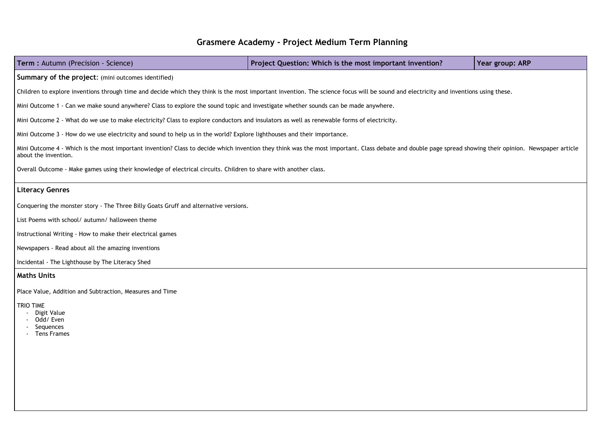## **Grasmere Academy - Project Medium Term Planning**

# **Term :** Autumn (Precision - Science) **Project Question: Which is the most important invention? Year group: ARP**

### **Summary of the project**: (mini outcomes identified)

Children to explore inventions through time and decide which they think is the most important invention. The science focus will be sound and electricity and inventions using these.

Mini Outcome 1 - Can we make sound anywhere? Class to explore the sound topic and investigate whether sounds can be made anywhere.

Mini Outcome 4 - Which is the most important invention? Class to decide which invention they think was the most important. Class debate and double page spread showing their opinion. Newspaper article about the invention.

Mini Outcome 2 - What do we use to make electricity? Class to explore conductors and insulators as well as renewable forms of electricity.

Mini Outcome 3 - How do we use electricity and sound to help us in the world? Explore lighthouses and their importance.

Overall Outcome - Make games using their knowledge of electrical circuits. Children to share with another class.

### **Literacy Genres**

Conquering the monster story - The Three Billy Goats Gruff and alternative versions.

List Poems with school/ autumn/ halloween theme

Instructional Writing - How to make their electrical games

Newspapers - Read about all the amazing inventions

Incidental - The Lighthouse by The Literacy Shed

### **Maths Units**

Place Value, Addition and Subtraction, Measures and Time

### TRIO TIME

- Digit Value
- Odd/ Even
- Sequences
- Tens Frames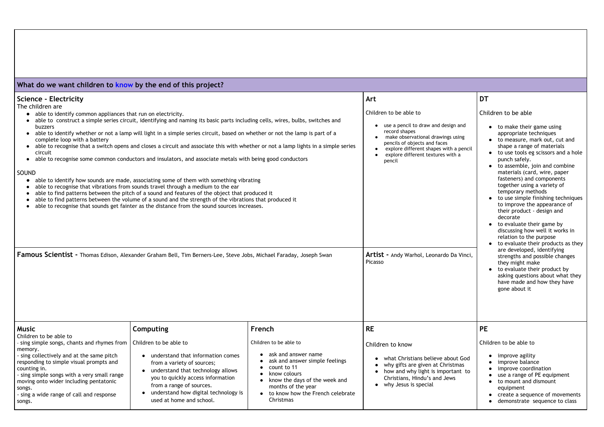| What do we want children to know by the end of this project?                                                                                                                                                                                                                                                                                                                                                                                                                                                                                                                                                                                                                                                                                                                                                                                                                                                                                                                                                                                                                                                                                                                                                                                                                                                          |                                                                                                                                                                                                                                           |                                                                                                                                                                                                                                                                                                            |                                                                                                                                                                                                                                                                                                                                                                                                                                                                                                                                                                                                                                                                                                                                                                                                                                         |                                                                                                                                                                                                              |
|-----------------------------------------------------------------------------------------------------------------------------------------------------------------------------------------------------------------------------------------------------------------------------------------------------------------------------------------------------------------------------------------------------------------------------------------------------------------------------------------------------------------------------------------------------------------------------------------------------------------------------------------------------------------------------------------------------------------------------------------------------------------------------------------------------------------------------------------------------------------------------------------------------------------------------------------------------------------------------------------------------------------------------------------------------------------------------------------------------------------------------------------------------------------------------------------------------------------------------------------------------------------------------------------------------------------------|-------------------------------------------------------------------------------------------------------------------------------------------------------------------------------------------------------------------------------------------|------------------------------------------------------------------------------------------------------------------------------------------------------------------------------------------------------------------------------------------------------------------------------------------------------------|-----------------------------------------------------------------------------------------------------------------------------------------------------------------------------------------------------------------------------------------------------------------------------------------------------------------------------------------------------------------------------------------------------------------------------------------------------------------------------------------------------------------------------------------------------------------------------------------------------------------------------------------------------------------------------------------------------------------------------------------------------------------------------------------------------------------------------------------|--------------------------------------------------------------------------------------------------------------------------------------------------------------------------------------------------------------|
| Science - Electricity  <br>The children are<br>• able to identify common appliances that run on electricity.<br>able to construct a simple series circuit, identifying and naming its basic parts including cells, wires, bulbs, switches and<br>buzzers<br>able to identify whether or not a lamp will light in a simple series circuit, based on whether or not the lamp is part of a<br>complete loop with a battery<br>able to recognise that a switch opens and closes a circuit and associate this with whether or not a lamp lights in a simple series<br>circuit<br>able to recognise some common conductors and insulators, and associate metals with being good conductors<br>SOUND<br>able to identify how sounds are made, associating some of them with something vibrating<br>able to recognise that vibrations from sounds travel through a medium to the ear<br>able to find patterns between the pitch of a sound and features of the object that produced it<br>able to find patterns between the volume of a sound and the strength of the vibrations that produced it<br>able to recognise that sounds get fainter as the distance from the sound sources increases.<br><b>Famous Scientist -</b> Thomas Edison, Alexander Graham Bell, Tim Berners-Lee, Steve Jobs, Michael Faraday, Joseph Swan |                                                                                                                                                                                                                                           | Art<br>Children to be able to<br>use a pencil to draw and design and<br>record shapes<br>make observational drawings using<br>pencils of objects and faces<br>explore different shapes with a pencil<br>explore different textures with a<br>pencil<br>Artist - Andy Warhol, Leonardo Da Vinci,<br>Picasso | <b>DT</b><br>Children to be able<br>• to make their game using<br>appropriate techniques<br>• to measure, mark out, cut and<br>shape a range of materials<br>• to use tools eg scissors and a hole<br>punch safely.<br>• to assemble, join and combine<br>materials (card, wire, paper<br>fasteners) and components<br>together using a variety of<br>temporary methods<br>• to use simple finishing techniques<br>to improve the appearance of<br>their product - design and<br>decorate<br>• to evaluate their game by<br>discussing how well it works in<br>relation to the purpose<br>• to evaluate their products as they<br>are developed, identifying<br>strengths and possible changes<br>they might make<br>• to evaluate their product by<br>asking questions about what they<br>have made and how they have<br>gone about it |                                                                                                                                                                                                              |
| Music<br>Children to be able to<br>sing simple songs, chants and rhymes from                                                                                                                                                                                                                                                                                                                                                                                                                                                                                                                                                                                                                                                                                                                                                                                                                                                                                                                                                                                                                                                                                                                                                                                                                                          | <b>Computing</b><br>Children to be able to                                                                                                                                                                                                | French<br>Children to be able to                                                                                                                                                                                                                                                                           | <b>RE</b><br>Children to know                                                                                                                                                                                                                                                                                                                                                                                                                                                                                                                                                                                                                                                                                                                                                                                                           | <b>PE</b><br>Children to be able to                                                                                                                                                                          |
| memory.<br>sing collectively and at the same pitch<br>responding to simple visual prompts and<br>counting in.<br>- sing simple songs with a very small range<br>moving onto wider including pentatonic<br>songs.<br>sing a wide range of call and response<br>songs.                                                                                                                                                                                                                                                                                                                                                                                                                                                                                                                                                                                                                                                                                                                                                                                                                                                                                                                                                                                                                                                  | understand that information comes<br>from a variety of sources;<br>understand that technology allows<br>you to quickly access information<br>from a range of sources.<br>understand how digital technology is<br>used at home and school. | ask and answer name<br>ask and answer simple feelings<br>count to 11<br>know colours<br>know the days of the week and<br>months of the year<br>• to know how the French celebrate<br>Christmas                                                                                                             | what Christians believe about God<br>why gifts are given at Christmas<br>how and why light is important to<br>Christians, Hindu's and Jews<br>• why Jesus is special                                                                                                                                                                                                                                                                                                                                                                                                                                                                                                                                                                                                                                                                    | improve agility<br>• improve balance<br>• improve coordination<br>• use a range of PE equipment<br>• to mount and dismount<br>equipment<br>• create a sequence of movements<br>demonstrate sequence to class |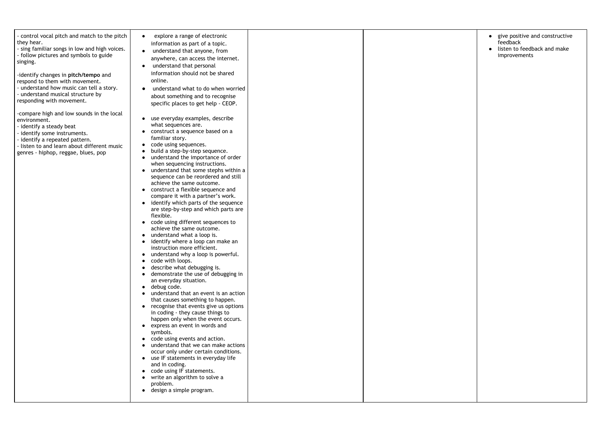| - control vocal pitch and match to the pitch<br>they hear.<br>- sing familiar songs in low and high voices.<br>- follow pictures and symbols to guide<br>singing.<br>-identify changes in pitch/tempo and<br>respond to them with movement.<br>- understand how music can tell a story.<br>- understand musical structure by<br>responding with movement.<br>-compare high and low sounds in the local<br>environment.<br>- identify a steady beat<br>- identify some instruments.<br>- identify a repeated pattern.<br>- listen to and learn about different music<br>genres - hiphop, reggae, blues, pop | explore a range of electronic<br>information as part of a topic.<br>understand that anyone, from<br>anywhere, can access the internet.<br>understand that personal<br>information should not be shared<br>online.<br>understand what to do when worried<br>about something and to recognise<br>specific places to get help - CEOP.<br>use everyday examples, describe<br>what sequences are.<br>construct a sequence based on a<br>familiar story.<br>code using sequences.<br>$\bullet$<br>build a step-by-step sequence.<br>understand the importance of order<br>when sequencing instructions.<br>understand that some stephs within a<br>sequence can be reordered and still<br>achieve the same outcome.<br>construct a flexible sequence and<br>compare it with a partner's work.<br>identify which parts of the sequence<br>are step-by-step and which parts are<br>flexible.<br>code using different sequences to<br>achieve the same outcome.<br>understand what a loop is.<br>identify where a loop can make an<br>instruction more efficient.<br>understand why a loop is powerful.<br>code with loops.<br>describe what debugging is.<br>demonstrate the use of debugging in<br>an everyday situation.<br>debug code.<br>$\bullet$<br>understand that an event is an action<br>that causes something to happen.<br>recognise that events give us options<br>in coding - they cause things to<br>happen only when the event occurs.<br>express an event in words and<br>symbols.<br>code using events and action.<br>understand that we can make actions<br>occur only under certain conditions.<br>use IF statements in everyday life<br>and in coding.<br>code using IF statements.<br>write an algorithm to solve a<br>problem.<br>design a simple program. |  |  |
|------------------------------------------------------------------------------------------------------------------------------------------------------------------------------------------------------------------------------------------------------------------------------------------------------------------------------------------------------------------------------------------------------------------------------------------------------------------------------------------------------------------------------------------------------------------------------------------------------------|---------------------------------------------------------------------------------------------------------------------------------------------------------------------------------------------------------------------------------------------------------------------------------------------------------------------------------------------------------------------------------------------------------------------------------------------------------------------------------------------------------------------------------------------------------------------------------------------------------------------------------------------------------------------------------------------------------------------------------------------------------------------------------------------------------------------------------------------------------------------------------------------------------------------------------------------------------------------------------------------------------------------------------------------------------------------------------------------------------------------------------------------------------------------------------------------------------------------------------------------------------------------------------------------------------------------------------------------------------------------------------------------------------------------------------------------------------------------------------------------------------------------------------------------------------------------------------------------------------------------------------------------------------------------------------------------------------------------------------------------------------------------------|--|--|
|------------------------------------------------------------------------------------------------------------------------------------------------------------------------------------------------------------------------------------------------------------------------------------------------------------------------------------------------------------------------------------------------------------------------------------------------------------------------------------------------------------------------------------------------------------------------------------------------------------|---------------------------------------------------------------------------------------------------------------------------------------------------------------------------------------------------------------------------------------------------------------------------------------------------------------------------------------------------------------------------------------------------------------------------------------------------------------------------------------------------------------------------------------------------------------------------------------------------------------------------------------------------------------------------------------------------------------------------------------------------------------------------------------------------------------------------------------------------------------------------------------------------------------------------------------------------------------------------------------------------------------------------------------------------------------------------------------------------------------------------------------------------------------------------------------------------------------------------------------------------------------------------------------------------------------------------------------------------------------------------------------------------------------------------------------------------------------------------------------------------------------------------------------------------------------------------------------------------------------------------------------------------------------------------------------------------------------------------------------------------------------------------|--|--|

|  | give positive and constructive<br>feedback<br>listen to feedback and make<br>improvements |
|--|-------------------------------------------------------------------------------------------|
|  |                                                                                           |
|  |                                                                                           |
|  |                                                                                           |
|  |                                                                                           |
|  |                                                                                           |
|  |                                                                                           |
|  |                                                                                           |
|  |                                                                                           |
|  |                                                                                           |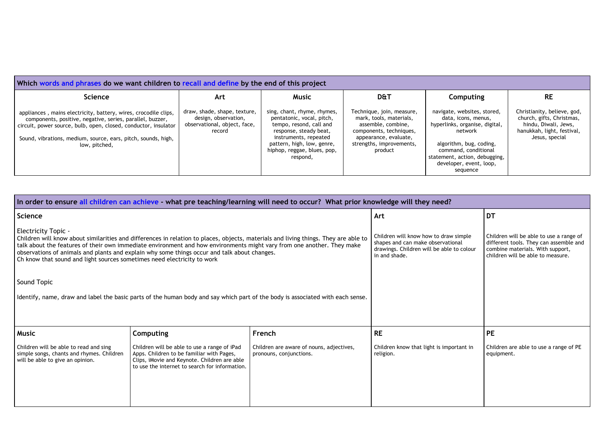| Which words and phrases do we want children to recall and define by the end of this project                                                                                                                                                                                       |                                                                                                |                                                                                                                                                                                                                 |                                                                                                                                                                       |                                                                                      |  |
|-----------------------------------------------------------------------------------------------------------------------------------------------------------------------------------------------------------------------------------------------------------------------------------|------------------------------------------------------------------------------------------------|-----------------------------------------------------------------------------------------------------------------------------------------------------------------------------------------------------------------|-----------------------------------------------------------------------------------------------------------------------------------------------------------------------|--------------------------------------------------------------------------------------|--|
| <b>Science</b>                                                                                                                                                                                                                                                                    | Art                                                                                            | <b>Music</b>                                                                                                                                                                                                    | <b>D&amp;T</b>                                                                                                                                                        | Col                                                                                  |  |
| appliances, mains electricity, battery, wires, crocodile clips,<br>components, positive, negative, series, parallel, buzzer,<br>circuit, power source, bulb, open, closed, conductor, insulator<br>Sound, vibrations, medium, source, ears, pitch, sounds, high,<br>low, pitched, | draw, shade, shape, texture,<br>design, observation,<br>observational, object, face,<br>record | sing, chant, rhyme, rhymes,<br>pentatonic, vocal, pitch,<br>tempo, resond, call and<br>response, steady beat,<br>instruments, repeated<br>pattern, high, low, genre,<br>hiphop, reggae, blues, pop,<br>respond, | Technique, join, measure,<br>mark, tools, materials,<br>assemble, combine,<br>components, techniques,<br>appearance, evaluate,<br>strengths, improvements,<br>product | navigate,<br>data, i<br>hyperlinks,<br>algorithr<br>commar<br>statement,<br>develope |  |

| In order to ensure all children can achieve - what pre teaching/learning will need to occur? What prior knowledge will they need?                                                                                                                                                                                                                                                                                                                                      |                                                                                                                                                                                             |                                                                     |                                                                                                                                          |                                                                                                                                                            |
|------------------------------------------------------------------------------------------------------------------------------------------------------------------------------------------------------------------------------------------------------------------------------------------------------------------------------------------------------------------------------------------------------------------------------------------------------------------------|---------------------------------------------------------------------------------------------------------------------------------------------------------------------------------------------|---------------------------------------------------------------------|------------------------------------------------------------------------------------------------------------------------------------------|------------------------------------------------------------------------------------------------------------------------------------------------------------|
| Science                                                                                                                                                                                                                                                                                                                                                                                                                                                                |                                                                                                                                                                                             |                                                                     | Art                                                                                                                                      | <b>DT</b>                                                                                                                                                  |
| <b>Electricity Topic -</b><br>Children will know about similarities and differences in relation to places, objects, materials and living things. They are able to<br>talk about the features of their own immediate environment and how environments might vary from one another. They make<br>observations of animals and plants and explain why some things occur and talk about changes.<br>Ch know that sound and light sources sometimes need electricity to work |                                                                                                                                                                                             |                                                                     | Children will know how to draw simple<br>shapes and can make observational<br>drawings. Children will be able to colour<br>in and shade. | Children will be able to use a range of<br>different tools. They can assemble and<br>combine materials. With support,<br>children will be able to measure. |
| Sound Topic                                                                                                                                                                                                                                                                                                                                                                                                                                                            |                                                                                                                                                                                             |                                                                     |                                                                                                                                          |                                                                                                                                                            |
| Identify, name, draw and label the basic parts of the human body and say which part of the body is associated with each sense.                                                                                                                                                                                                                                                                                                                                         |                                                                                                                                                                                             |                                                                     |                                                                                                                                          |                                                                                                                                                            |
|                                                                                                                                                                                                                                                                                                                                                                                                                                                                        |                                                                                                                                                                                             |                                                                     |                                                                                                                                          |                                                                                                                                                            |
| <b>Music</b>                                                                                                                                                                                                                                                                                                                                                                                                                                                           | <b>Computing</b>                                                                                                                                                                            | French                                                              | <b>RE</b>                                                                                                                                | <b>PE</b>                                                                                                                                                  |
| Children will be able to read and sing<br>simple songs, chants and rhymes. Children<br>will be able to give an opinion.                                                                                                                                                                                                                                                                                                                                                | Children will be able to use a range of iPad<br>Apps. Children to be familiar with Pages,<br>Clips, iMovie and Keynote. Children are able<br>to use the internet to search for information. | Children are aware of nouns, adjectives,<br>pronouns, conjunctions. | Children know that light is important in<br>religion.                                                                                    | Children are able to use a range of PE<br>equipment.                                                                                                       |

| Computing                                                                                                               | RE                                                                                                                               |
|-------------------------------------------------------------------------------------------------------------------------|----------------------------------------------------------------------------------------------------------------------------------|
| navigate, websites, stored,<br>data, icons, menus,<br>hyperlinks, organise, digital,<br>network                         | Christianity, believe, god,<br>church, gifts, Christmas,<br>hindu, Diwali, Jews,<br>hanukkah, light, festival,<br>Jesus, special |
| algorithm, bug, coding,<br>command, conditional<br>statement, action, debugging,<br>developer, event, loop,<br>sequence |                                                                                                                                  |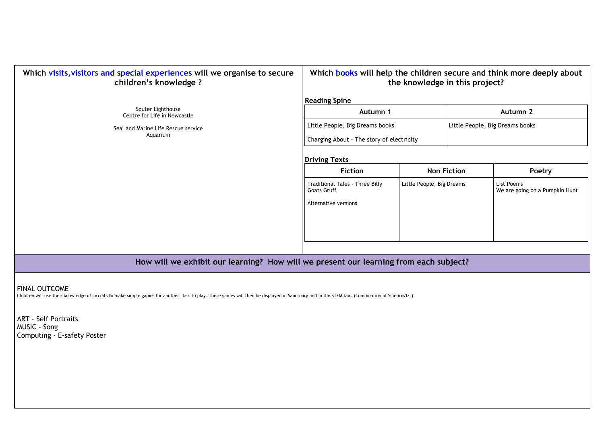| Which visits, visitors and special experiences will we organise to secure<br>children's knowledge ?  | Which books will help the children secure and think more deepl                                                                                                                                                                              | the knowledge in this project? |                    |                                                                                                     |
|------------------------------------------------------------------------------------------------------|---------------------------------------------------------------------------------------------------------------------------------------------------------------------------------------------------------------------------------------------|--------------------------------|--------------------|-----------------------------------------------------------------------------------------------------|
| Souter Lighthouse<br>Centre for Life in Newcastle<br>Seal and Marine Life Rescue service<br>Aquarium | <b>Reading Spine</b><br>Autumn 1<br>Little People, Big Dreams books<br>Charging About - The story of electricity<br><b>Driving Texts</b><br><b>Fiction</b><br>Traditional Tales - Three Billy<br><b>Goats Gruff</b><br>Alternative versions | Little People, Big Dreams      | <b>Non Fiction</b> | <b>Autumn 2</b><br>Little People, Big Dreams books<br>Poetry<br>List Poems<br>We are going on a Pum |

## **Autumn 1 Autumn 2**

| <b>Non Fiction</b><br>Poetry<br>List Poems<br>We are going on a Pumpkin Hunt |                           |  |
|------------------------------------------------------------------------------|---------------------------|--|
|                                                                              |                           |  |
|                                                                              | Little People, Big Dreams |  |

**How will we exhibit our learning? How will we present our learning from each subject?**

FINAL OUTCOME

Children will use their knowledge of circuits to make simple games for another class to play. These games will then be displayed in Sanctuary and in the STEM fair. (Combination of Science/DT)

ART - Self Portraits MUSIC - Song Computing - E-safety Poster

# $\alpha$  which **help chooch children chooch c this project?**